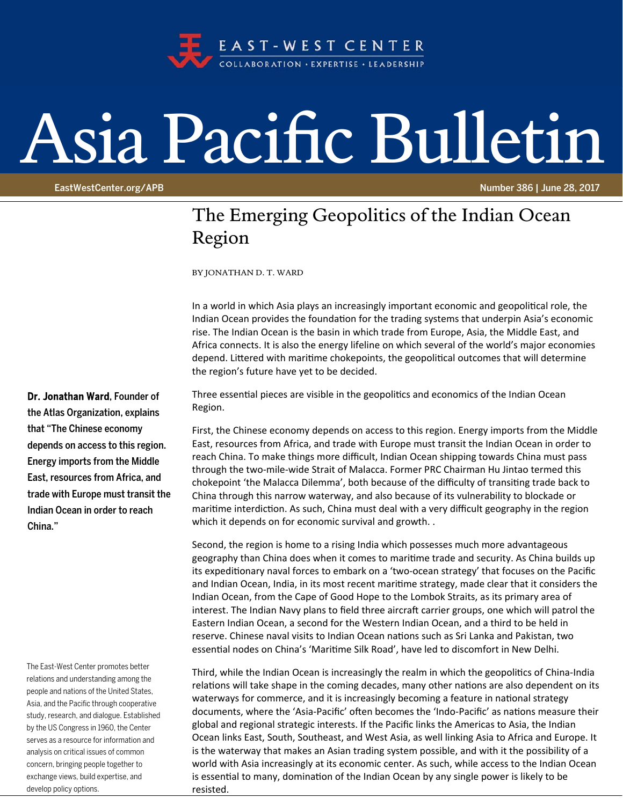

## Asia Pacific Bulletin

EastWestCenter.org/APB Number 386 | June 28, 2017

## The Emerging Geopolitics of the Indian Ocean Region

BY JONATHAN D. T. WARD

In a world in which Asia plays an increasingly important economic and geopolitical role, the Indian Ocean provides the foundation for the trading systems that underpin Asia's economic rise. The Indian Ocean is the basin in which trade from Europe, Asia, the Middle East, and Africa connects. It is also the energy lifeline on which several of the world's major economies depend. Littered with maritime chokepoints, the geopolitical outcomes that will determine the region's future have yet to be decided.

Three essential pieces are visible in the geopolitics and economics of the Indian Ocean Region.

First, the Chinese economy depends on access to this region. Energy imports from the Middle East, resources from Africa, and trade with Europe must transit the Indian Ocean in order to reach China. To make things more difficult, Indian Ocean shipping towards China must pass through the two‐mile‐wide Strait of Malacca. Former PRC Chairman Hu Jintao termed this chokepoint 'the Malacca Dilemma', both because of the difficulty of transiting trade back to China through this narrow waterway, and also because of its vulnerability to blockade or maritime interdiction. As such, China must deal with a very difficult geography in the region which it depends on for economic survival and growth. .

Second, the region is home to a rising India which possesses much more advantageous geography than China does when it comes to maritime trade and security. As China builds up its expeditionary naval forces to embark on a 'two-ocean strategy' that focuses on the Pacific and Indian Ocean, India, in its most recent maritime strategy, made clear that it considers the Indian Ocean, from the Cape of Good Hope to the Lombok Straits, as its primary area of interest. The Indian Navy plans to field three aircraft carrier groups, one which will patrol the Eastern Indian Ocean, a second for the Western Indian Ocean, and a third to be held in reserve. Chinese naval visits to Indian Ocean nations such as Sri Lanka and Pakistan, two essential nodes on China's 'Maritime Silk Road', have led to discomfort in New Delhi.

Third, while the Indian Ocean is increasingly the realm in which the geopolitics of China-India relations will take shape in the coming decades, many other nations are also dependent on its waterways for commerce, and it is increasingly becoming a feature in national strategy documents, where the 'Asia-Pacific' often becomes the 'Indo-Pacific' as nations measure their global and regional strategic interests. If the Pacific links the Americas to Asia, the Indian Ocean links East, South, Southeast, and West Asia, as well linking Asia to Africa and Europe. It is the waterway that makes an Asian trading system possible, and with it the possibility of a world with Asia increasingly at its economic center. As such, while access to the Indian Ocean is essential to many, domination of the Indian Ocean by any single power is likely to be resisted.

Dr. Jonathan Ward, Founder of the Atlas Organization, explains that "The Chinese economy depends on access to this region. Energy imports from the Middle East, resources from Africa, and trade with Europe must transit the Indian Ocean in order to reach China."

The East-West Center promotes better relations and understanding among the people and nations of the United States, Asia, and the Pacific through cooperative study, research, and dialogue. Established by the US Congress in 1960, the Center serves as a resource for information and analysis on critical issues of common concern, bringing people together to exchange views, build expertise, and develop policy options.